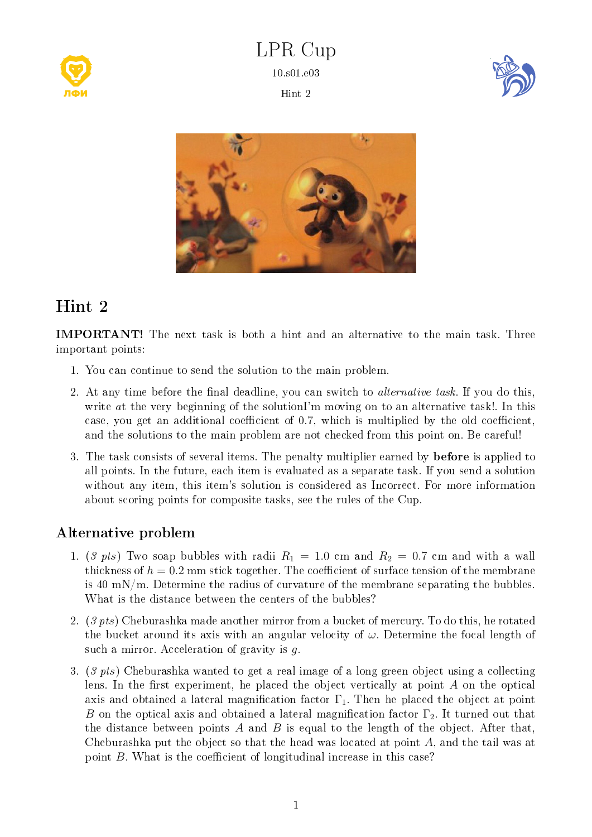

LPR Cup 10.s01.e03 Hint 2





## Hint 2

IMPORTANT! The next task is both a hint and an alternative to the main task. Three important points:

- 1. You can continue to send the solution to the main problem.
- 2. At any time before the final deadline, you can switch to *alternative task*. If you do this, write at the very beginning of the solutionI'm moving on to an alternative task!. In this case, you get an additional coefficient of  $0.7$ , which is multiplied by the old coefficient, and the solutions to the main problem are not checked from this point on. Be careful!
- 3. The task consists of several items. The penalty multiplier earned by **before** is applied to all points. In the future, each item is evaluated as a separate task. If you send a solution without any item, this item's solution is considered as Incorrect. For more information about scoring points for composite tasks, see the rules of the Cup.

## Alternative problem

- 1. (3 pts) Two soap bubbles with radii  $R_1 = 1.0$  cm and  $R_2 = 0.7$  cm and with a wall thickness of  $h = 0.2$  mm stick together. The coefficient of surface tension of the membrane is 40 mN/m. Determine the radius of curvature of the membrane separating the bubbles. What is the distance between the centers of the bubbles?
- 2. (3 pts) Cheburashka made another mirror from a bucket of mercury. To do this, he rotated the bucket around its axis with an angular velocity of  $\omega$ . Determine the focal length of such a mirror. Acceleration of gravity is g.
- 3. (3 pts) Cheburashka wanted to get a real image of a long green object using a collecting lens. In the first experiment, he placed the object vertically at point  $A$  on the optical axis and obtained a lateral magnification factor  $\Gamma_1$ . Then he placed the object at point B on the optical axis and obtained a lateral magnification factor  $\Gamma_2$ . It turned out that the distance between points  $A$  and  $B$  is equal to the length of the object. After that, Cheburashka put the object so that the head was located at point A, and the tail was at point  $B$ . What is the coefficient of longitudinal increase in this case?